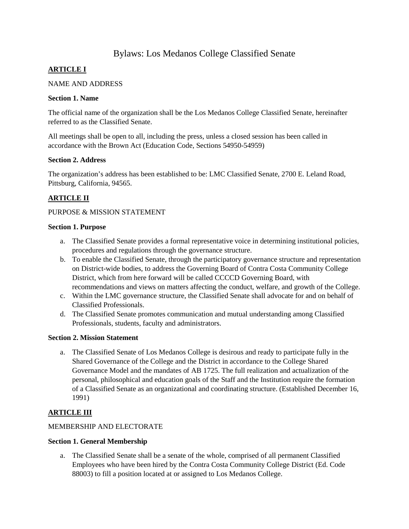# Bylaws: Los Medanos College Classified Senate

# **ARTICLE I**

### NAME AND ADDRESS

### **Section 1. Name**

The official name of the organization shall be the Los Medanos College Classified Senate, hereinafter referred to as the Classified Senate.

All meetings shall be open to all, including the press, unless a closed session has been called in accordance with the Brown Act (Education Code, Sections 54950-54959)

### **Section 2. Address**

The organization's address has been established to be: LMC Classified Senate, 2700 E. Leland Road, Pittsburg, California, 94565.

# **ARTICLE II**

### PURPOSE & MISSION STATEMENT

#### **Section 1. Purpose**

- a. The Classified Senate provides a formal representative voice in determining institutional policies, procedures and regulations through the governance structure.
- b. To enable the Classified Senate, through the participatory governance structure and representation on District-wide bodies, to address the Governing Board of Contra Costa Community College District, which from here forward will be called CCCCD Governing Board, with recommendations and views on matters affecting the conduct, welfare, and growth of the College.
- c. Within the LMC governance structure, the Classified Senate shall advocate for and on behalf of Classified Professionals.
- d. The Classified Senate promotes communication and mutual understanding among Classified Professionals, students, faculty and administrators.

#### **Section 2. Mission Statement**

a. The Classified Senate of Los Medanos College is desirous and ready to participate fully in the Shared Governance of the College and the District in accordance to the College Shared Governance Model and the mandates of AB 1725. The full realization and actualization of the personal, philosophical and education goals of the Staff and the Institution require the formation of a Classified Senate as an organizational and coordinating structure. (Established December 16, 1991)

# **ARTICLE III**

# MEMBERSHIP AND ELECTORATE

#### **Section 1. General Membership**

a. The Classified Senate shall be a senate of the whole, comprised of all permanent Classified Employees who have been hired by the Contra Costa Community College District (Ed. Code 88003) to fill a position located at or assigned to Los Medanos College.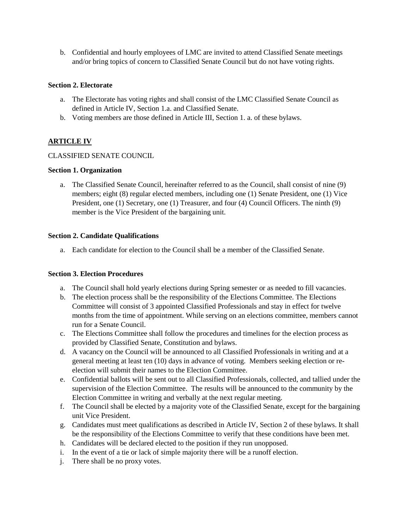b. Confidential and hourly employees of LMC are invited to attend Classified Senate meetings and/or bring topics of concern to Classified Senate Council but do not have voting rights.

### **Section 2. Electorate**

- a. The Electorate has voting rights and shall consist of the LMC Classified Senate Council as defined in Article IV, Section 1.a. and Classified Senate.
- b. Voting members are those defined in Article III, Section 1. a. of these bylaws.

# **ARTICLE IV**

### CLASSIFIED SENATE COUNCIL

#### **Section 1. Organization**

a. The Classified Senate Council, hereinafter referred to as the Council, shall consist of nine (9) members; eight (8) regular elected members, including one (1) Senate President, one (1) Vice President, one (1) Secretary, one (1) Treasurer, and four (4) Council Officers. The ninth (9) member is the Vice President of the bargaining unit.

#### **Section 2. Candidate Qualifications**

a. Each candidate for election to the Council shall be a member of the Classified Senate.

#### **Section 3. Election Procedures**

- a. The Council shall hold yearly elections during Spring semester or as needed to fill vacancies.
- b. The election process shall be the responsibility of the Elections Committee. The Elections Committee will consist of 3 appointed Classified Professionals and stay in effect for twelve months from the time of appointment. While serving on an elections committee, members cannot run for a Senate Council.
- c. The Elections Committee shall follow the procedures and timelines for the election process as provided by Classified Senate, Constitution and bylaws.
- d. A vacancy on the Council will be announced to all Classified Professionals in writing and at a general meeting at least ten (10) days in advance of voting. Members seeking election or reelection will submit their names to the Election Committee.
- e. Confidential ballots will be sent out to all Classified Professionals, collected, and tallied under the supervision of the Election Committee. The results will be announced to the community by the Election Committee in writing and verbally at the next regular meeting.
- f. The Council shall be elected by a majority vote of the Classified Senate, except for the bargaining unit Vice President.
- g. Candidates must meet qualifications as described in Article IV, Section 2 of these bylaws. It shall be the responsibility of the Elections Committee to verify that these conditions have been met.
- h. Candidates will be declared elected to the position if they run unopposed.
- i. In the event of a tie or lack of simple majority there will be a runoff election.
- j. There shall be no proxy votes.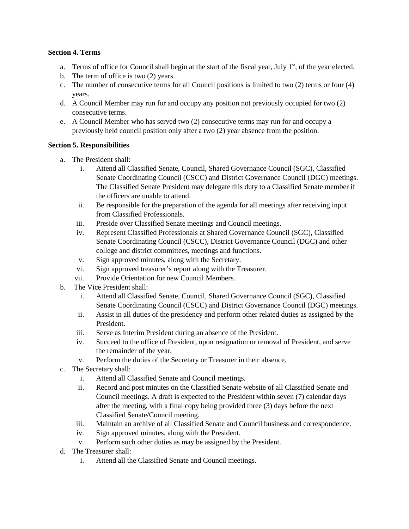### **Section 4. Terms**

- a. Terms of office for Council shall begin at the start of the fiscal year, July 1<sup>st</sup>, of the year elected.
- b. The term of office is two (2) years.
- c. The number of consecutive terms for all Council positions is limited to two (2) terms or four (4) years.
- d. A Council Member may run for and occupy any position not previously occupied for two (2) consecutive terms.
- e. A Council Member who has served two (2) consecutive terms may run for and occupy a previously held council position only after a two (2) year absence from the position.

# **Section 5. Responsibilities**

- a. The President shall:
	- i. Attend all Classified Senate, Council, Shared Governance Council (SGC), Classified Senate Coordinating Council (CSCC) and District Governance Council (DGC) meetings. The Classified Senate President may delegate this duty to a Classified Senate member if the officers are unable to attend.
	- ii. Be responsible for the preparation of the agenda for all meetings after receiving input from Classified Professionals.
	- iii. Preside over Classified Senate meetings and Council meetings.
	- iv. Represent Classified Professionals at Shared Governance Council (SGC), Classified Senate Coordinating Council (CSCC), District Governance Council (DGC) and other college and district committees, meetings and functions.
	- v. Sign approved minutes, along with the Secretary.
	- vi. Sign approved treasurer's report along with the Treasurer.
	- vii. Provide Orientation for new Council Members.
- b. The Vice President shall:
	- i. Attend all Classified Senate, Council, Shared Governance Council (SGC), Classified Senate Coordinating Council (CSCC) and District Governance Council (DGC) meetings.
	- ii. Assist in all duties of the presidency and perform other related duties as assigned by the President.
	- iii. Serve as Interim President during an absence of the President.
	- iv. Succeed to the office of President, upon resignation or removal of President, and serve the remainder of the year.
	- v. Perform the duties of the Secretary or Treasurer in their absence.
- c. The Secretary shall:
	- i. Attend all Classified Senate and Council meetings.
	- ii. Record and post minutes on the Classified Senate website of all Classified Senate and Council meetings. A draft is expected to the President within seven (7) calendar days after the meeting, with a final copy being provided three (3) days before the next Classified Senate/Council meeting.
	- iii. Maintain an archive of all Classified Senate and Council business and correspondence.
	- iv. Sign approved minutes, along with the President.
	- v. Perform such other duties as may be assigned by the President.
- d. The Treasurer shall:
	- i. Attend all the Classified Senate and Council meetings.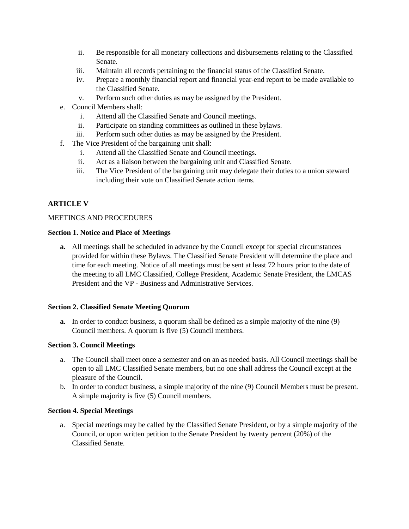- ii. Be responsible for all monetary collections and disbursements relating to the Classified Senate.
- iii. Maintain all records pertaining to the financial status of the Classified Senate.
- iv. Prepare a monthly financial report and financial year-end report to be made available to the Classified Senate.
- v. Perform such other duties as may be assigned by the President.
- e. Council Members shall:
	- i. Attend all the Classified Senate and Council meetings.
	- ii. Participate on standing committees as outlined in these bylaws.
	- iii. Perform such other duties as may be assigned by the President.
- f. The Vice President of the bargaining unit shall:
	- i. Attend all the Classified Senate and Council meetings.
	- ii. Act as a liaison between the bargaining unit and Classified Senate.
	- iii. The Vice President of the bargaining unit may delegate their duties to a union steward including their vote on Classified Senate action items.

# **ARTICLE V**

#### MEETINGS AND PROCEDURES

#### **Section 1. Notice and Place of Meetings**

**a.** All meetings shall be scheduled in advance by the Council except for special circumstances provided for within these Bylaws. The Classified Senate President will determine the place and time for each meeting. Notice of all meetings must be sent at least 72 hours prior to the date of the meeting to all LMC Classified, College President, Academic Senate President, the LMCAS President and the VP - Business and Administrative Services.

#### **Section 2. Classified Senate Meeting Quorum**

**a.** In order to conduct business, a quorum shall be defined as a simple majority of the nine (9) Council members. A quorum is five (5) Council members.

### **Section 3. Council Meetings**

- a. The Council shall meet once a semester and on an as needed basis. All Council meetings shall be open to all LMC Classified Senate members, but no one shall address the Council except at the pleasure of the Council.
- b. In order to conduct business, a simple majority of the nine (9) Council Members must be present. A simple majority is five (5) Council members.

#### **Section 4. Special Meetings**

a. Special meetings may be called by the Classified Senate President, or by a simple majority of the Council, or upon written petition to the Senate President by twenty percent (20%) of the Classified Senate.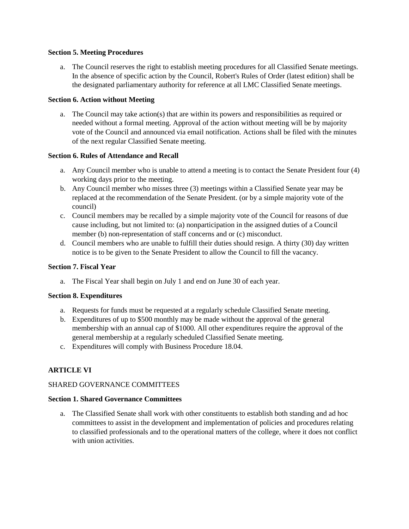#### **Section 5. Meeting Procedures**

a. The Council reserves the right to establish meeting procedures for all Classified Senate meetings. In the absence of specific action by the Council, Robert's Rules of Order (latest edition) shall be the designated parliamentary authority for reference at all LMC Classified Senate meetings.

#### **Section 6. Action without Meeting**

a. The Council may take action(s) that are within its powers and responsibilities as required or needed without a formal meeting. Approval of the action without meeting will be by majority vote of the Council and announced via email notification. Actions shall be filed with the minutes of the next regular Classified Senate meeting.

### **Section 6. Rules of Attendance and Recall**

- a. Any Council member who is unable to attend a meeting is to contact the Senate President four (4) working days prior to the meeting.
- b. Any Council member who misses three (3) meetings within a Classified Senate year may be replaced at the recommendation of the Senate President. (or by a simple majority vote of the council)
- c. Council members may be recalled by a simple majority vote of the Council for reasons of due cause including, but not limited to: (a) nonparticipation in the assigned duties of a Council member (b) non-representation of staff concerns and or (c) misconduct.
- d. Council members who are unable to fulfill their duties should resign. A thirty (30) day written notice is to be given to the Senate President to allow the Council to fill the vacancy.

#### **Section 7. Fiscal Year**

a. The Fiscal Year shall begin on July 1 and end on June 30 of each year.

#### **Section 8. Expenditures**

- a. Requests for funds must be requested at a regularly schedule Classified Senate meeting.
- b. Expenditures of up to \$500 monthly may be made without the approval of the general membership with an annual cap of \$1000. All other expenditures require the approval of the general membership at a regularly scheduled Classified Senate meeting.
- c. Expenditures will comply with Business Procedure 18.04.

#### **ARTICLE VI**

#### SHARED GOVERNANCE COMMITTEES

#### **Section 1. Shared Governance Committees**

a. The Classified Senate shall work with other constituents to establish both standing and ad hoc committees to assist in the development and implementation of policies and procedures relating to classified professionals and to the operational matters of the college, where it does not conflict with union activities.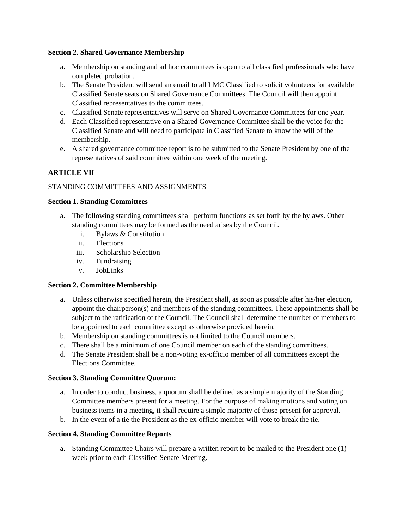#### **Section 2. Shared Governance Membership**

- a. Membership on standing and ad hoc committees is open to all classified professionals who have completed probation.
- b. The Senate President will send an email to all LMC Classified to solicit volunteers for available Classified Senate seats on Shared Governance Committees. The Council will then appoint Classified representatives to the committees.
- c. Classified Senate representatives will serve on Shared Governance Committees for one year.
- d. Each Classified representative on a Shared Governance Committee shall be the voice for the Classified Senate and will need to participate in Classified Senate to know the will of the membership.
- e. A shared governance committee report is to be submitted to the Senate President by one of the representatives of said committee within one week of the meeting.

# **ARTICLE VII**

### STANDING COMMITTEES AND ASSIGNMENTS

#### **Section 1. Standing Committees**

- a. The following standing committees shall perform functions as set forth by the bylaws. Other standing committees may be formed as the need arises by the Council.
	- i. Bylaws & Constitution
	- ii. Elections
	- iii. Scholarship Selection
	- iv. Fundraising
	- v. JobLinks

#### **Section 2. Committee Membership**

- a. Unless otherwise specified herein, the President shall, as soon as possible after his/her election, appoint the chairperson(s) and members of the standing committees. These appointments shall be subject to the ratification of the Council. The Council shall determine the number of members to be appointed to each committee except as otherwise provided herein.
- b. Membership on standing committees is not limited to the Council members.
- c. There shall be a minimum of one Council member on each of the standing committees.
- d. The Senate President shall be a non-voting ex-officio member of all committees except the Elections Committee.

#### **Section 3. Standing Committee Quorum:**

- a. In order to conduct business, a quorum shall be defined as a simple majority of the Standing Committee members present for a meeting. For the purpose of making motions and voting on business items in a meeting, it shall require a simple majority of those present for approval.
- b. In the event of a tie the President as the ex-officio member will vote to break the tie.

#### **Section 4. Standing Committee Reports**

a. Standing Committee Chairs will prepare a written report to be mailed to the President one (1) week prior to each Classified Senate Meeting.